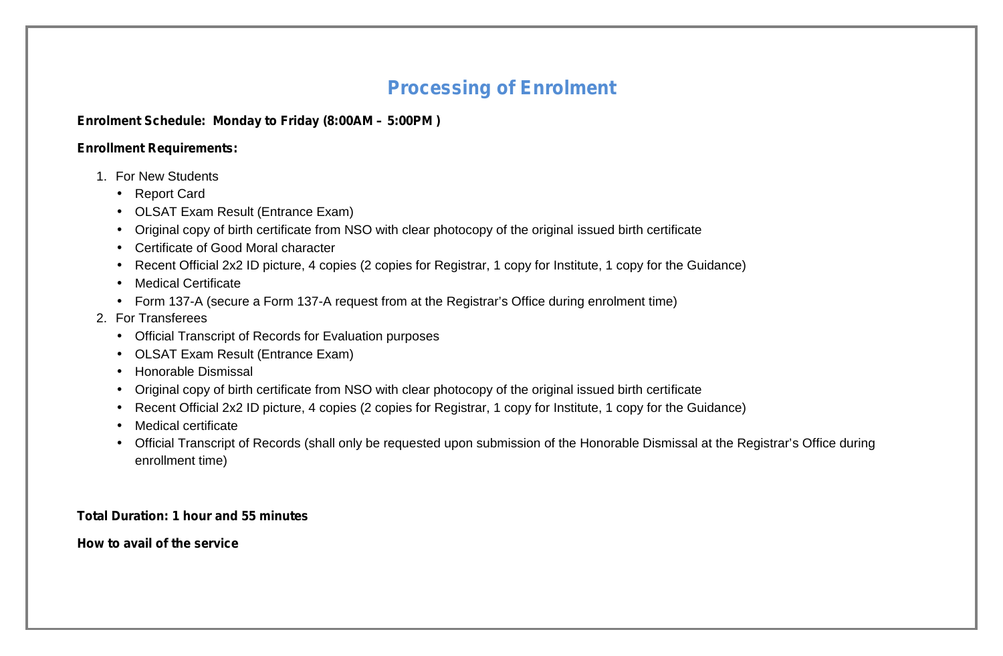## **Processing of Enrolment**

## **Enrolment Schedule: Monday to Friday (8:00AM – 5:00PM )**

## **Enrollment Requirements:**

- 1. For New Students
	- Report Card
	- OLSAT Exam Result (Entrance Exam)
	- Original copy of birth certificate from NSO with clear photocopy of the original issued birth certificate
	- Certificate of Good Moral character
	- Recent Official 2x2 ID picture, 4 copies (2 copies for Registrar, 1 copy for Institute, 1 copy for the Guidance)
	- Medical Certificate
	- Form 137-A (secure a Form 137-A request from at the Registrar's Office during enrolment time)
- 2. For Transferees
	- Official Transcript of Records for Evaluation purposes
	- OLSAT Exam Result (Entrance Exam)
	- Honorable Dismissal
	- Original copy of birth certificate from NSO with clear photocopy of the original issued birth certificate
	- Recent Official 2x2 ID picture, 4 copies (2 copies for Registrar, 1 copy for Institute, 1 copy for the Guidance)
	- Medical certificate
	- Official Transcript of Records (shall only be requested upon submission of the Honorable Dismissal at the Registrar's Office during enrollment time)

## **Total Duration: 1 hour and 55 minutes**

**How to avail of the service**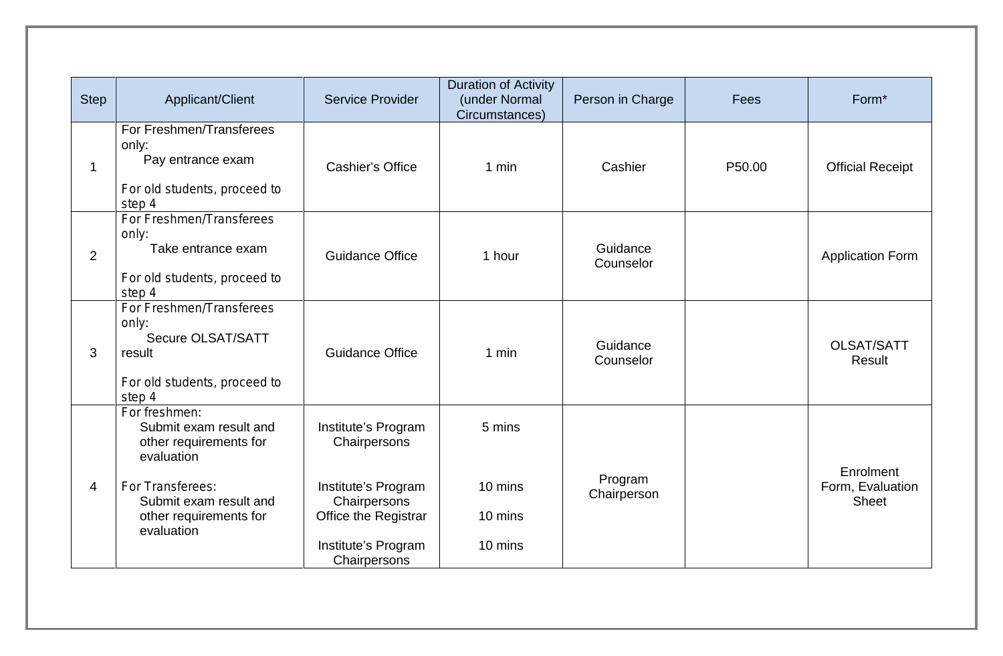| <b>Step</b>    | Applicant/Client                                                                                                  | <b>Service Provider</b>                                     | <b>Duration of Activity</b><br>(under Normal<br>Circumstances) | Person in Charge       | Fees   | Form <sup>*</sup>                             |
|----------------|-------------------------------------------------------------------------------------------------------------------|-------------------------------------------------------------|----------------------------------------------------------------|------------------------|--------|-----------------------------------------------|
| $\mathbf 1$    | For Freshmen/Transferees<br>only:<br>Pay entrance exam<br>For old students, proceed to<br>step 4                  | <b>Cashier's Office</b>                                     | $1$ min                                                        | Cashier                | P50.00 | <b>Official Receipt</b>                       |
| $\overline{2}$ | For Freshmen/Transferees<br>only:<br>Take entrance exam<br>For old students, proceed to<br>step 4                 | <b>Guidance Office</b>                                      | 1 hour                                                         | Guidance<br>Counselor  |        | <b>Application Form</b>                       |
| 3              | For Freshmen/Transferees<br>only:<br><b>Secure OLSAT/SATT</b><br>result<br>For old students, proceed to<br>step 4 | <b>Guidance Office</b>                                      | 1 min                                                          | Guidance<br>Counselor  |        | <b>OLSAT/SATT</b><br>Result                   |
|                | For freshmen:<br>Submit exam result and<br>other requirements for<br>evaluation                                   | Institute's Program<br>Chairpersons                         | 5 mins                                                         |                        |        |                                               |
| 4              | For Transferees:<br>Submit exam result and<br>other requirements for<br>evaluation                                | Institute's Program<br>Chairpersons<br>Office the Registrar | 10 mins<br>10 mins                                             | Program<br>Chairperson |        | Enrolment<br>Form, Evaluation<br><b>Sheet</b> |
|                |                                                                                                                   | Institute's Program<br>Chairpersons                         | 10 mins                                                        |                        |        |                                               |